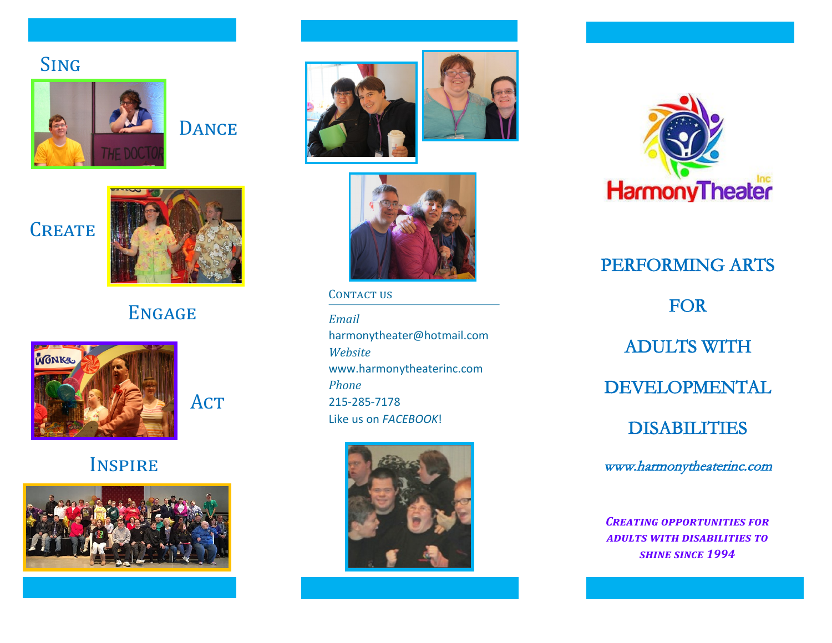**SING** 



**DANCE** 





**ENGAGE** 

**ACT** 



**INSPIRE** 









CONTACT US

*Email* harmonytheater@hotmail.com *Website* www.harmonytheaterinc.com *Phone* 215-285-7178 Like us on *FACEBOOK*!





PERFORMING ARTS FOR ADULTS WITH DEVELOPMENTAL DISABILITIES

www.harmonytheaterinc.com

*Creating opportunities for adults with disabilities to shine since 1994*